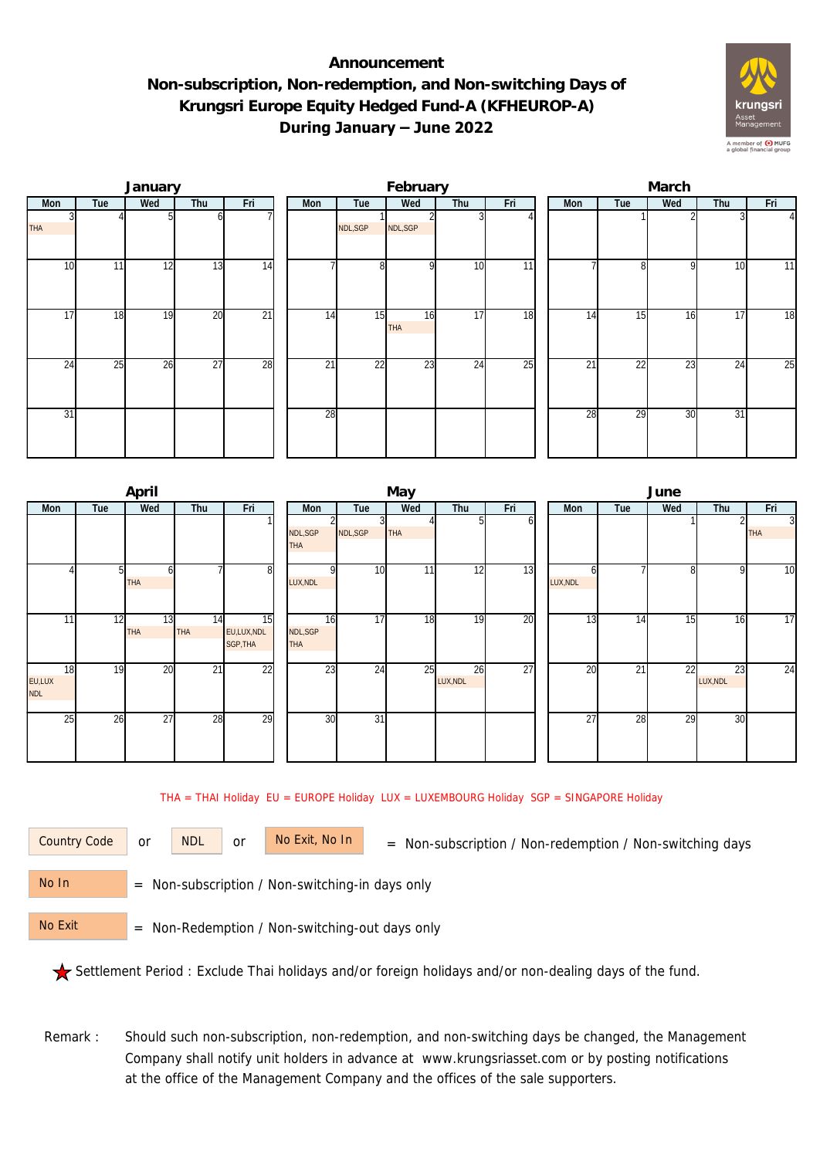## **Announcement Non-subscription, Non-redemption, and Non-switching Days of Krungsri Europe Equity Hedged Fund-A (KFHEUROP-A) During January – June 2022**



| January    |     |     |                 |                 |  |     |                 | February  |                 |                 | March |                 |     |     |                 |  |  |
|------------|-----|-----|-----------------|-----------------|--|-----|-----------------|-----------|-----------------|-----------------|-------|-----------------|-----|-----|-----------------|--|--|
| Mon        | Tue | Wed | Thu             | Fri             |  | Mon | Tue             | Wed       | Thu             | Fri             | Mon   | Tue             | Wed | Thu | Fri             |  |  |
| <b>THA</b> |     |     | ωI              |                 |  |     | NDL, SGP        | NDL, SGP  |                 |                 |       |                 |     |     | $\Delta$        |  |  |
| 10         | 11  | 12  | 13              | 14              |  |     | 8               | οI        | 10              | $\overline{11}$ |       | 81              | 9   | 10  | 11              |  |  |
| 17         | 18  | 19  | 20              | $\overline{21}$ |  | 14  | 15              | 16<br>THA | 17              | 18              | 14    | 15              | 16  | 17  | $\overline{18}$ |  |  |
| 24         | 25  | 26  | $\overline{27}$ | 28              |  | 21  | $\overline{22}$ | 23        | $2\overline{4}$ | 25              | 21    | $2\overline{2}$ | 23  | 24  | 25              |  |  |
| 31         |     |     |                 |                 |  | 28  |                 |           |                 |                 | 28    | 29              | 30  | 31  |                 |  |  |

|                            |     | April     |                  |                              |                        |          | May        |                |                 | June          |     |                 |                |                 |  |  |
|----------------------------|-----|-----------|------------------|------------------------------|------------------------|----------|------------|----------------|-----------------|---------------|-----|-----------------|----------------|-----------------|--|--|
| Mon                        | Tue | Wed       | Thu              | Fri                          | Mon                    | Tue      | Wed        | Thu            | Fri             | Mon           | Tue | Wed             | Thu            | Fri             |  |  |
|                            |     |           |                  |                              | NDL, SGP<br><b>THA</b> | NDL, SGP | <b>THA</b> |                | n               |               |     |                 |                | 3<br><b>THA</b> |  |  |
|                            | 51  | h<br>THA  |                  | 8                            | LUX, NDL               | 10       | 11         | 12             | 13              | n<br>LUX, NDL |     | $\Omega$        | 9              | 10              |  |  |
| 11                         | 12  | 13<br>THA | 14<br><b>THA</b> | 15<br>EU,LUX,NDL<br>SGP, THA | 16<br>NDL, SGP<br>THA  | 17       | 18         | 19             | 20              | 13            | 14  | 15 <sub>i</sub> | 16             | 17              |  |  |
| 18<br>EU,LUX<br><b>NDL</b> | 19  | 20        | 21               | 22                           | 23                     | 24       | 25         | 26<br>LUX, NDL | $\overline{27}$ | 20            | 21  | $\overline{22}$ | 23<br>LUX, NDL | 24              |  |  |
| 25                         | 26  | 27        | 28               | 29                           | 30                     | 31       |            |                |                 | 27            | 28  | 29              | 30             |                 |  |  |

THA = THAI Holiday EU = EUROPE Holiday LUX = LUXEMBOURG Holiday SGP = SINGAPORE Holiday

or NDL or

Country Code or NDL or No Exit, No In = Non-subscription / Non-redemption / Non-switching days

 = Non-subscription / Non-switching-in days only No In

 = Non-Redemption / Non-switching-out days only No Exit

Settlement Period : Exclude Thai holidays and/or foreign holidays and/or non-dealing days of the fund.

Remark : Should such non-subscription, non-redemption, and non-switching days be changed, the Management Company shall notify unit holders in advance at www.krungsriasset.com or by posting notifications at the office of the Management Company and the offices of the sale supporters.